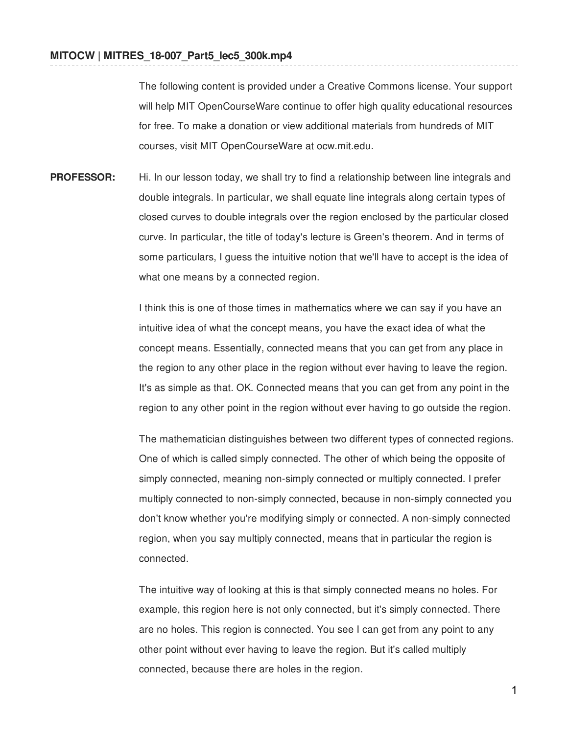The following content is provided under a Creative Commons license. Your support will help MIT OpenCourseWare continue to offer high quality educational resources for free. To make a donation or view additional materials from hundreds of MIT courses, visit MIT OpenCourseWare at ocw.mit.edu.

**PROFESSOR:** Hi. In our lesson today, we shall try to find a relationship between line integrals and double integrals. In particular, we shall equate line integrals along certain types of closed curves to double integrals over the region enclosed by the particular closed curve. In particular, the title of today's lecture is Green's theorem. And in terms of some particulars, I guess the intuitive notion that we'll have to accept is the idea of what one means by a connected region.

> I think this is one of those times in mathematics where we can say if you have an intuitive idea of what the concept means, you have the exact idea of what the concept means. Essentially, connected means that you can get from any place in the region to any other place in the region without ever having to leave the region. It's as simple as that. OK. Connected means that you can get from any point in the region to any other point in the region without ever having to go outside the region.

> The mathematician distinguishes between two different types of connected regions. One of which is called simply connected. The other of which being the opposite of simply connected, meaning non-simply connected or multiply connected. I prefer multiply connected to non-simply connected, because in non-simply connected you don't know whether you're modifying simply or connected. A non-simply connected region, when you say multiply connected, means that in particular the region is connected.

The intuitive way of looking at this is that simply connected means no holes. For example, this region here is not only connected, but it's simply connected. There are no holes. This region is connected. You see I can get from any point to any other point without ever having to leave the region. But it's called multiply connected, because there are holes in the region.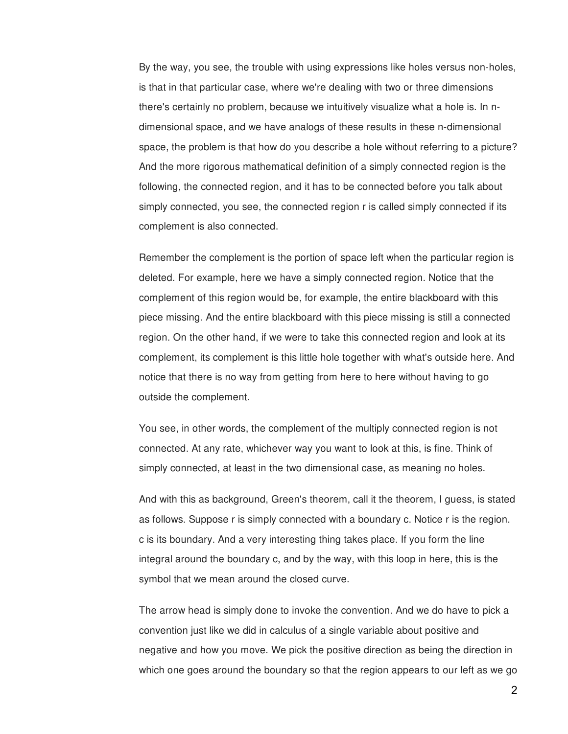By the way, you see, the trouble with using expressions like holes versus non-holes, is that in that particular case, where we're dealing with two or three dimensions there's certainly no problem, because we intuitively visualize what a hole is. In ndimensional space, and we have analogs of these results in these n-dimensional space, the problem is that how do you describe a hole without referring to a picture? And the more rigorous mathematical definition of a simply connected region is the following, the connected region, and it has to be connected before you talk about simply connected, you see, the connected region r is called simply connected if its complement is also connected.

Remember the complement is the portion of space left when the particular region is deleted. For example, here we have a simply connected region. Notice that the complement of this region would be, for example, the entire blackboard with this piece missing. And the entire blackboard with this piece missing is still a connected region. On the other hand, if we were to take this connected region and look at its complement, its complement is this little hole together with what's outside here. And notice that there is no way from getting from here to here without having to go outside the complement.

You see, in other words, the complement of the multiply connected region is not connected. At any rate, whichever way you want to look at this, is fine. Think of simply connected, at least in the two dimensional case, as meaning no holes.

And with this as background, Green's theorem, call it the theorem, I guess, is stated as follows. Suppose r is simply connected with a boundary c. Notice r is the region. c is its boundary. And a very interesting thing takes place. If you form the line integral around the boundary c, and by the way, with this loop in here, this is the symbol that we mean around the closed curve.

The arrow head is simply done to invoke the convention. And we do have to pick a convention just like we did in calculus of a single variable about positive and negative and how you move. We pick the positive direction as being the direction in which one goes around the boundary so that the region appears to our left as we go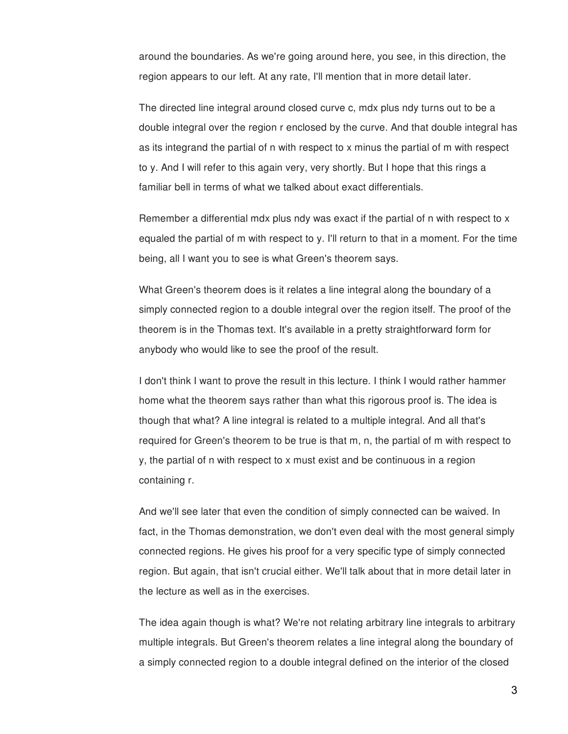around the boundaries. As we're going around here, you see, in this direction, the region appears to our left. At any rate, I'll mention that in more detail later.

The directed line integral around closed curve c, mdx plus ndy turns out to be a double integral over the region r enclosed by the curve. And that double integral has as its integrand the partial of n with respect to x minus the partial of m with respect to y. And I will refer to this again very, very shortly. But I hope that this rings a familiar bell in terms of what we talked about exact differentials.

Remember a differential mdx plus ndy was exact if the partial of n with respect to x equaled the partial of m with respect to y. I'll return to that in a moment. For the time being, all I want you to see is what Green's theorem says.

What Green's theorem does is it relates a line integral along the boundary of a simply connected region to a double integral over the region itself. The proof of the theorem is in the Thomas text. It's available in a pretty straightforward form for anybody who would like to see the proof of the result.

I don't think I want to prove the result in this lecture. I think I would rather hammer home what the theorem says rather than what this rigorous proof is. The idea is though that what? A line integral is related to a multiple integral. And all that's required for Green's theorem to be true is that m, n, the partial of m with respect to y, the partial of n with respect to x must exist and be continuous in a region containing r.

And we'll see later that even the condition of simply connected can be waived. In fact, in the Thomas demonstration, we don't even deal with the most general simply connected regions. He gives his proof for a very specific type of simply connected region. But again, that isn't crucial either. We'll talk about that in more detail later in the lecture as well as in the exercises.

The idea again though is what? We're not relating arbitrary line integrals to arbitrary multiple integrals. But Green's theorem relates a line integral along the boundary of a simply connected region to a double integral defined on the interior of the closed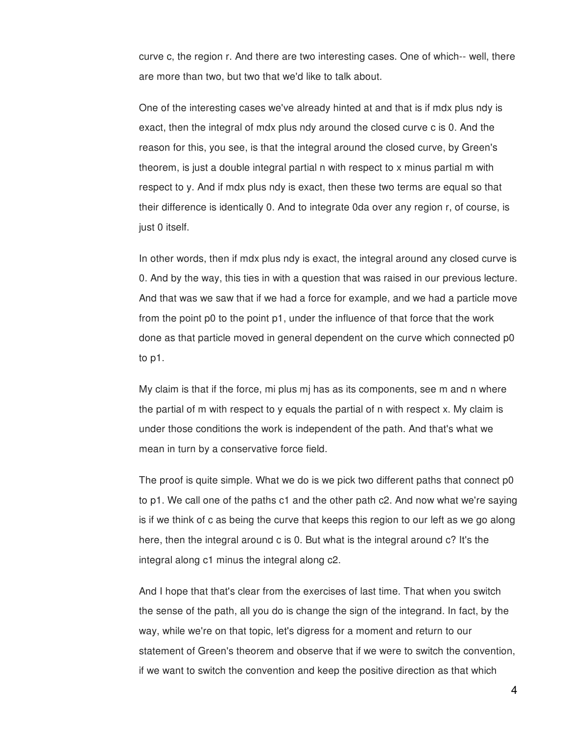curve c, the region r. And there are two interesting cases. One of which-- well, there are more than two, but two that we'd like to talk about.

One of the interesting cases we've already hinted at and that is if mdx plus ndy is exact, then the integral of mdx plus ndy around the closed curve c is 0. And the reason for this, you see, is that the integral around the closed curve, by Green's theorem, is just a double integral partial n with respect to x minus partial m with respect to y. And if mdx plus ndy is exact, then these two terms are equal so that their difference is identically 0. And to integrate 0da over any region r, of course, is just 0 itself.

In other words, then if mdx plus ndy is exact, the integral around any closed curve is 0. And by the way, this ties in with a question that was raised in our previous lecture. And that was we saw that if we had a force for example, and we had a particle move from the point p0 to the point p1, under the influence of that force that the work done as that particle moved in general dependent on the curve which connected p0 to p1.

My claim is that if the force, mi plus mj has as its components, see m and n where the partial of m with respect to y equals the partial of n with respect x. My claim is under those conditions the work is independent of the path. And that's what we mean in turn by a conservative force field.

The proof is quite simple. What we do is we pick two different paths that connect p0 to p1. We call one of the paths c1 and the other path c2. And now what we're saying is if we think of c as being the curve that keeps this region to our left as we go along here, then the integral around c is 0. But what is the integral around c? It's the integral along c1 minus the integral along c2.

And I hope that that's clear from the exercises of last time. That when you switch the sense of the path, all you do is change the sign of the integrand. In fact, by the way, while we're on that topic, let's digress for a moment and return to our statement of Green's theorem and observe that if we were to switch the convention, if we want to switch the convention and keep the positive direction as that which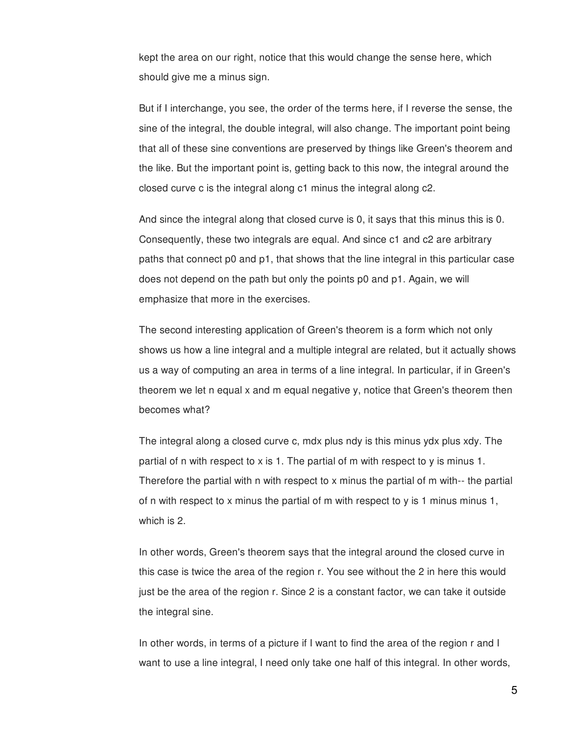kept the area on our right, notice that this would change the sense here, which should give me a minus sign.

But if I interchange, you see, the order of the terms here, if I reverse the sense, the sine of the integral, the double integral, will also change. The important point being that all of these sine conventions are preserved by things like Green's theorem and the like. But the important point is, getting back to this now, the integral around the closed curve c is the integral along c1 minus the integral along c2.

And since the integral along that closed curve is 0, it says that this minus this is 0. Consequently, these two integrals are equal. And since c1 and c2 are arbitrary paths that connect p0 and p1, that shows that the line integral in this particular case does not depend on the path but only the points p0 and p1. Again, we will emphasize that more in the exercises.

The second interesting application of Green's theorem is a form which not only shows us how a line integral and a multiple integral are related, but it actually shows us a way of computing an area in terms of a line integral. In particular, if in Green's theorem we let n equal x and m equal negative y, notice that Green's theorem then becomes what?

The integral along a closed curve c, mdx plus ndy is this minus ydx plus xdy. The partial of n with respect to x is 1. The partial of m with respect to y is minus 1. Therefore the partial with n with respect to x minus the partial of m with-- the partial of n with respect to x minus the partial of m with respect to y is 1 minus minus 1, which is 2.

In other words, Green's theorem says that the integral around the closed curve in this case is twice the area of the region r. You see without the 2 in here this would just be the area of the region r. Since 2 is a constant factor, we can take it outside the integral sine.

In other words, in terms of a picture if I want to find the area of the region r and I want to use a line integral, I need only take one half of this integral. In other words,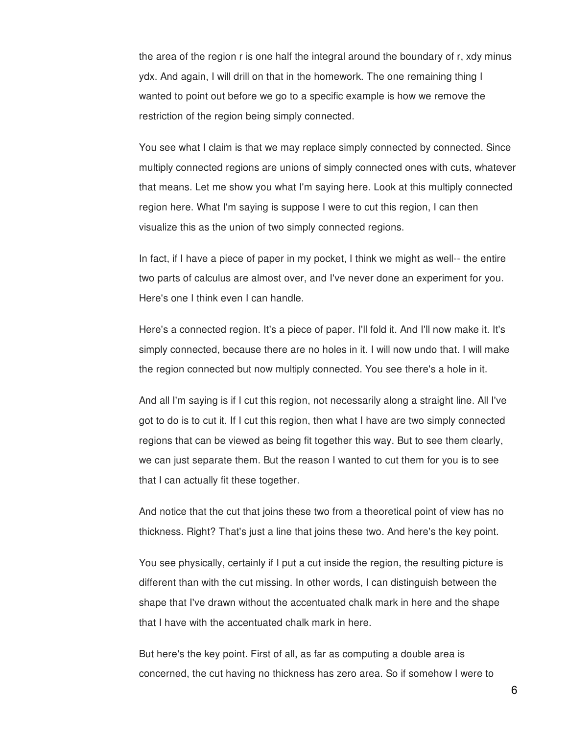the area of the region r is one half the integral around the boundary of r, xdy minus ydx. And again, I will drill on that in the homework. The one remaining thing I wanted to point out before we go to a specific example is how we remove the restriction of the region being simply connected.

You see what I claim is that we may replace simply connected by connected. Since multiply connected regions are unions of simply connected ones with cuts, whatever that means. Let me show you what I'm saying here. Look at this multiply connected region here. What I'm saying is suppose I were to cut this region, I can then visualize this as the union of two simply connected regions.

In fact, if I have a piece of paper in my pocket, I think we might as well-- the entire two parts of calculus are almost over, and I've never done an experiment for you. Here's one I think even I can handle.

Here's a connected region. It's a piece of paper. I'll fold it. And I'll now make it. It's simply connected, because there are no holes in it. I will now undo that. I will make the region connected but now multiply connected. You see there's a hole in it.

And all I'm saying is if I cut this region, not necessarily along a straight line. All I've got to do is to cut it. If I cut this region, then what I have are two simply connected regions that can be viewed as being fit together this way. But to see them clearly, we can just separate them. But the reason I wanted to cut them for you is to see that I can actually fit these together.

And notice that the cut that joins these two from a theoretical point of view has no thickness. Right? That's just a line that joins these two. And here's the key point.

You see physically, certainly if I put a cut inside the region, the resulting picture is different than with the cut missing. In other words, I can distinguish between the shape that I've drawn without the accentuated chalk mark in here and the shape that I have with the accentuated chalk mark in here.

But here's the key point. First of all, as far as computing a double area is concerned, the cut having no thickness has zero area. So if somehow I were to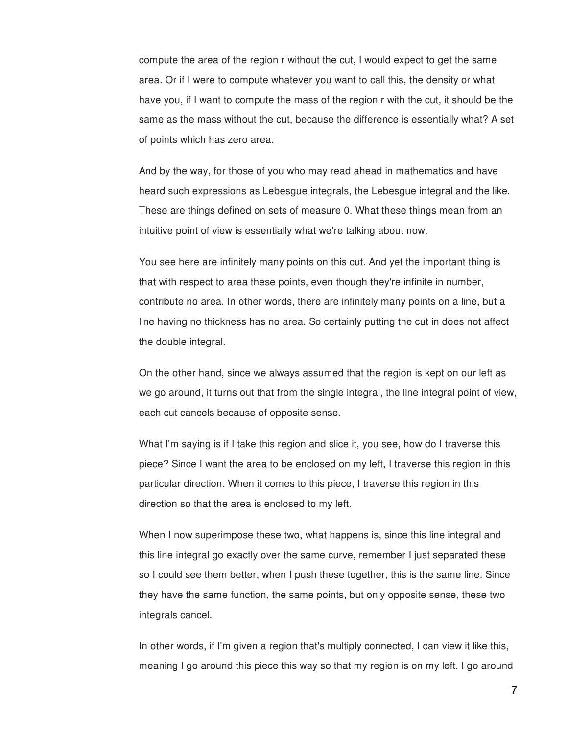compute the area of the region r without the cut, I would expect to get the same area. Or if I were to compute whatever you want to call this, the density or what have you, if I want to compute the mass of the region r with the cut, it should be the same as the mass without the cut, because the difference is essentially what? A set of points which has zero area.

And by the way, for those of you who may read ahead in mathematics and have heard such expressions as Lebesgue integrals, the Lebesgue integral and the like. These are things defined on sets of measure 0. What these things mean from an intuitive point of view is essentially what we're talking about now.

You see here are infinitely many points on this cut. And yet the important thing is that with respect to area these points, even though they're infinite in number, contribute no area. In other words, there are infinitely many points on a line, but a line having no thickness has no area. So certainly putting the cut in does not affect the double integral.

On the other hand, since we always assumed that the region is kept on our left as we go around, it turns out that from the single integral, the line integral point of view, each cut cancels because of opposite sense.

What I'm saying is if I take this region and slice it, you see, how do I traverse this piece? Since I want the area to be enclosed on my left, I traverse this region in this particular direction. When it comes to this piece, I traverse this region in this direction so that the area is enclosed to my left.

When I now superimpose these two, what happens is, since this line integral and this line integral go exactly over the same curve, remember I just separated these so I could see them better, when I push these together, this is the same line. Since they have the same function, the same points, but only opposite sense, these two integrals cancel.

In other words, if I'm given a region that's multiply connected, I can view it like this, meaning I go around this piece this way so that my region is on my left. I go around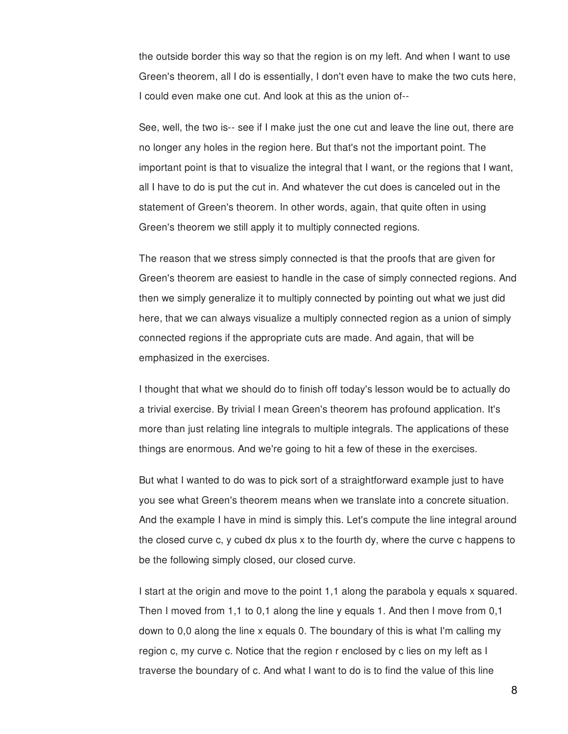the outside border this way so that the region is on my left. And when I want to use Green's theorem, all I do is essentially, I don't even have to make the two cuts here, I could even make one cut. And look at this as the union of--

See, well, the two is-- see if I make just the one cut and leave the line out, there are no longer any holes in the region here. But that's not the important point. The important point is that to visualize the integral that I want, or the regions that I want, all I have to do is put the cut in. And whatever the cut does is canceled out in the statement of Green's theorem. In other words, again, that quite often in using Green's theorem we still apply it to multiply connected regions.

The reason that we stress simply connected is that the proofs that are given for Green's theorem are easiest to handle in the case of simply connected regions. And then we simply generalize it to multiply connected by pointing out what we just did here, that we can always visualize a multiply connected region as a union of simply connected regions if the appropriate cuts are made. And again, that will be emphasized in the exercises.

I thought that what we should do to finish off today's lesson would be to actually do a trivial exercise. By trivial I mean Green's theorem has profound application. It's more than just relating line integrals to multiple integrals. The applications of these things are enormous. And we're going to hit a few of these in the exercises.

But what I wanted to do was to pick sort of a straightforward example just to have you see what Green's theorem means when we translate into a concrete situation. And the example I have in mind is simply this. Let's compute the line integral around the closed curve c, y cubed dx plus x to the fourth dy, where the curve c happens to be the following simply closed, our closed curve.

I start at the origin and move to the point 1,1 along the parabola y equals x squared. Then I moved from 1,1 to 0,1 along the line y equals 1. And then I move from 0,1 down to 0,0 along the line x equals 0. The boundary of this is what I'm calling my region c, my curve c. Notice that the region r enclosed by c lies on my left as I traverse the boundary of c. And what I want to do is to find the value of this line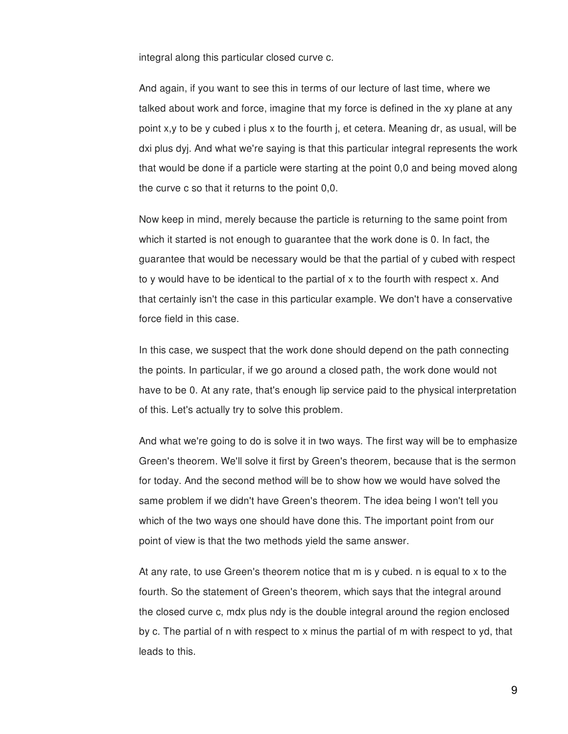integral along this particular closed curve c.

And again, if you want to see this in terms of our lecture of last time, where we talked about work and force, imagine that my force is defined in the xy plane at any point  $x,y$  to be y cubed i plus x to the fourth i, et cetera. Meaning dr, as usual, will be dxi plus dyj. And what we're saying is that this particular integral represents the work that would be done if a particle were starting at the point 0,0 and being moved along the curve c so that it returns to the point 0,0.

Now keep in mind, merely because the particle is returning to the same point from which it started is not enough to guarantee that the work done is 0. In fact, the guarantee that would be necessary would be that the partial of y cubed with respect to y would have to be identical to the partial of x to the fourth with respect x. And that certainly isn't the case in this particular example. We don't have a conservative force field in this case.

In this case, we suspect that the work done should depend on the path connecting the points. In particular, if we go around a closed path, the work done would not have to be 0. At any rate, that's enough lip service paid to the physical interpretation of this. Let's actually try to solve this problem.

And what we're going to do is solve it in two ways. The first way will be to emphasize Green's theorem. We'll solve it first by Green's theorem, because that is the sermon for today. And the second method will be to show how we would have solved the same problem if we didn't have Green's theorem. The idea being I won't tell you which of the two ways one should have done this. The important point from our point of view is that the two methods yield the same answer.

At any rate, to use Green's theorem notice that m is y cubed. n is equal to x to the fourth. So the statement of Green's theorem, which says that the integral around the closed curve c, mdx plus ndy is the double integral around the region enclosed by c. The partial of n with respect to x minus the partial of m with respect to yd, that leads to this.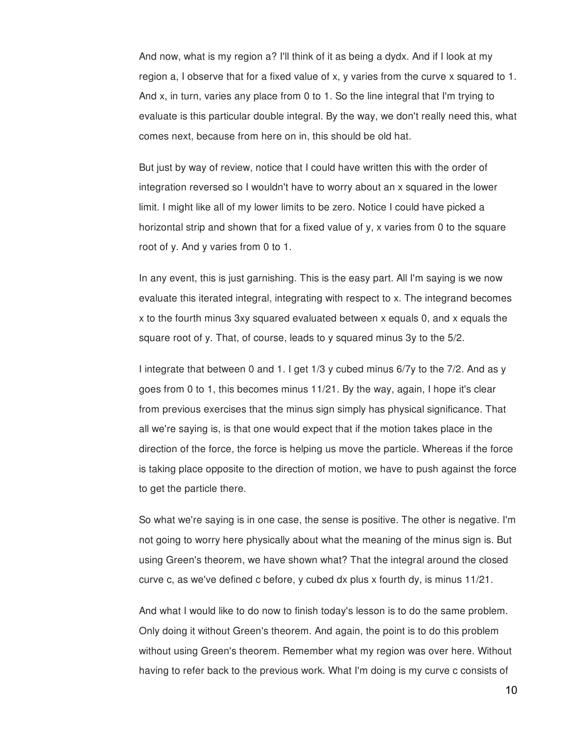And now, what is my region a? I'll think of it as being a dydx. And if I look at my region a, I observe that for a fixed value of x, y varies from the curve x squared to 1. And x, in turn, varies any place from 0 to 1. So the line integral that I'm trying to evaluate is this particular double integral. By the way, we don't really need this, what comes next, because from here on in, this should be old hat.

But just by way of review, notice that I could have written this with the order of integration reversed so I wouldn't have to worry about an x squared in the lower limit. I might like all of my lower limits to be zero. Notice I could have picked a horizontal strip and shown that for a fixed value of y, x varies from 0 to the square root of y. And y varies from 0 to 1.

In any event, this is just garnishing. This is the easy part. All I'm saying is we now evaluate this iterated integral, integrating with respect to x. The integrand becomes x to the fourth minus 3xy squared evaluated between x equals 0, and x equals the square root of y. That, of course, leads to y squared minus 3y to the 5/2.

I integrate that between 0 and 1. I get 1/3 y cubed minus 6/7y to the 7/2. And as y goes from 0 to 1, this becomes minus 11/21. By the way, again, I hope it's clear from previous exercises that the minus sign simply has physical significance. That all we're saying is, is that one would expect that if the motion takes place in the direction of the force, the force is helping us move the particle. Whereas if the force is taking place opposite to the direction of motion, we have to push against the force to get the particle there.

So what we're saying is in one case, the sense is positive. The other is negative. I'm not going to worry here physically about what the meaning of the minus sign is. But using Green's theorem, we have shown what? That the integral around the closed curve c, as we've defined c before, y cubed dx plus x fourth dy, is minus 11/21.

And what I would like to do now to finish today's lesson is to do the same problem. Only doing it without Green's theorem. And again, the point is to do this problem without using Green's theorem. Remember what my region was over here. Without having to refer back to the previous work. What I'm doing is my curve c consists of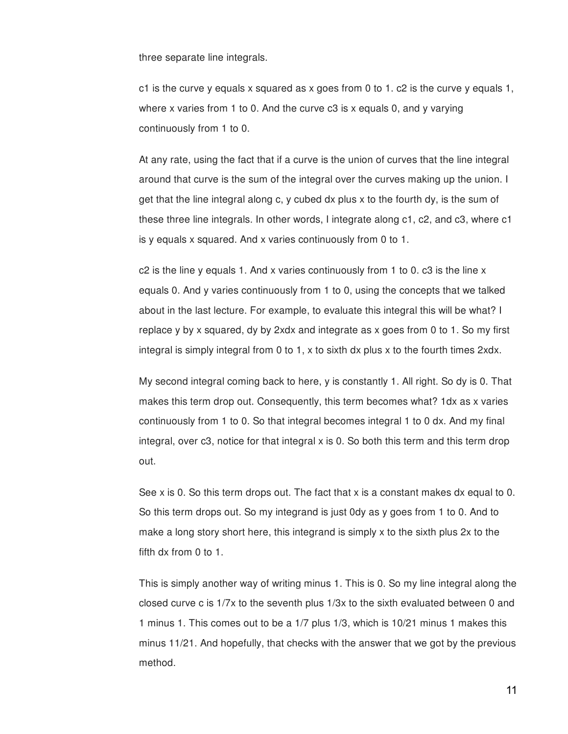three separate line integrals.

c1 is the curve y equals x squared as x goes from 0 to 1, c2 is the curve y equals 1, where x varies from 1 to 0. And the curve c3 is x equals 0, and y varying continuously from 1 to 0.

At any rate, using the fact that if a curve is the union of curves that the line integral around that curve is the sum of the integral over the curves making up the union. I get that the line integral along c, y cubed dx plus x to the fourth dy, is the sum of these three line integrals. In other words, I integrate along c1, c2, and c3, where c1 is y equals x squared. And x varies continuously from 0 to 1.

c2 is the line y equals 1. And x varies continuously from 1 to 0. c3 is the line x equals 0. And y varies continuously from 1 to 0, using the concepts that we talked about in the last lecture. For example, to evaluate this integral this will be what? I replace y by x squared, dy by 2xdx and integrate as x goes from 0 to 1. So my first integral is simply integral from 0 to 1, x to sixth dx plus x to the fourth times 2xdx.

My second integral coming back to here, y is constantly 1. All right. So dy is 0. That makes this term drop out. Consequently, this term becomes what? 1dx as x varies continuously from 1 to 0. So that integral becomes integral 1 to 0 dx. And my final integral, over c3, notice for that integral x is 0. So both this term and this term drop out.

See x is 0. So this term drops out. The fact that x is a constant makes dx equal to 0. So this term drops out. So my integrand is just 0dy as y goes from 1 to 0. And to make a long story short here, this integrand is simply x to the sixth plus 2x to the fifth dx from 0 to 1.

This is simply another way of writing minus 1. This is 0. So my line integral along the closed curve c is 1/7x to the seventh plus 1/3x to the sixth evaluated between 0 and 1 minus 1. This comes out to be a 1/7 plus 1/3, which is 10/21 minus 1 makes this minus 11/21. And hopefully, that checks with the answer that we got by the previous method.